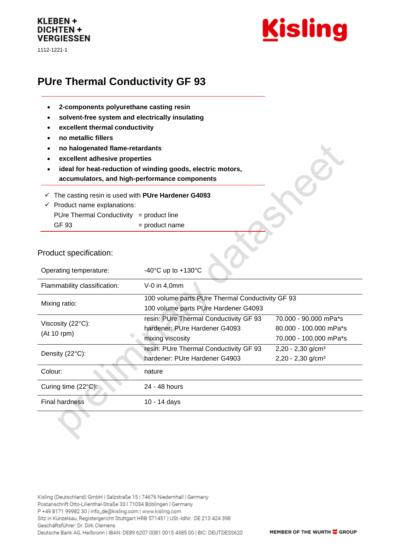## **KLEBEN + DICHTEN + VERGIESSEN**

1112-1221-1



## **PUre Thermal Conductivity GF 93**

- **2-components polyurethane casting resin**
- **solvent-free system and electrically insulating**
- **excellent thermal conductivity**
- **no metallic fillers**
- **no halogenated flame-retardants**
- **excellent adhesive properties**
- **ideal for heat-reduction of winding goods, electric motors, accumulators, and high-performance components**
- ✓ The casting resin is used with **PUre Hardener G4093**
- $\checkmark$  Product name explanations: PUre Thermal Conductivity = product line  $GF 93$  = product name

## Product specification:

| Operating temperature:                     | -40 $^{\circ}$ C up to +130 $^{\circ}$ C         |                                 |
|--------------------------------------------|--------------------------------------------------|---------------------------------|
| Flammability classification:               | $V-0$ in 4,0mm                                   |                                 |
| Mixing ratio:                              | 100 volume parts PUre Thermal Conductivity GF 93 |                                 |
|                                            | 100 volume parts PUre Hardener G4093             |                                 |
| Viscosity $(22^{\circ}C)$ :<br>(At 10 rpm) | resin: PUre Thermal Conductivity GF 93           | 70.000 - 90.000 mPa*s           |
|                                            | hardener: PUre Hardener G4093                    | 80.000 - 100.000 mPa*s          |
|                                            | mixing viscosity                                 | 70.000 - 100.000 mPa*s          |
| Density (22°C):                            | resin: PUre Thermal Conductivity GF 93           | $2,20 - 2,30$ g/cm <sup>3</sup> |
|                                            | hardener: PUre Hardener G4903                    | $2,20 - 2,30$ g/cm <sup>3</sup> |
| Colour:                                    | nature                                           |                                 |
| Curing time (22°C):                        | 24 - 48 hours                                    |                                 |
| <b>Final hardness</b>                      | 10 - 14 days                                     |                                 |

Kisling (Deutschland) GmbH | Salzstraße 15 | 74676 Niedernhall | Germany Postanschrift Otto-Lilienthal-Straße 33 | 71034 Böblingen | Germany P +49 8171 99982 30 | info\_de@kisling.com | www.kisling.com Sitz in Künzelsau, Registergericht Stuttgart HRB 571451 | USt.-IdNr.: DE 213 424 398 Geschäftsführer: Dr. Dirk Clemens Deutsche Bank AG, Heilbronn | IBAN: DE89 6207 0081 0015 4385 00 | BIC: DEUTDESS620